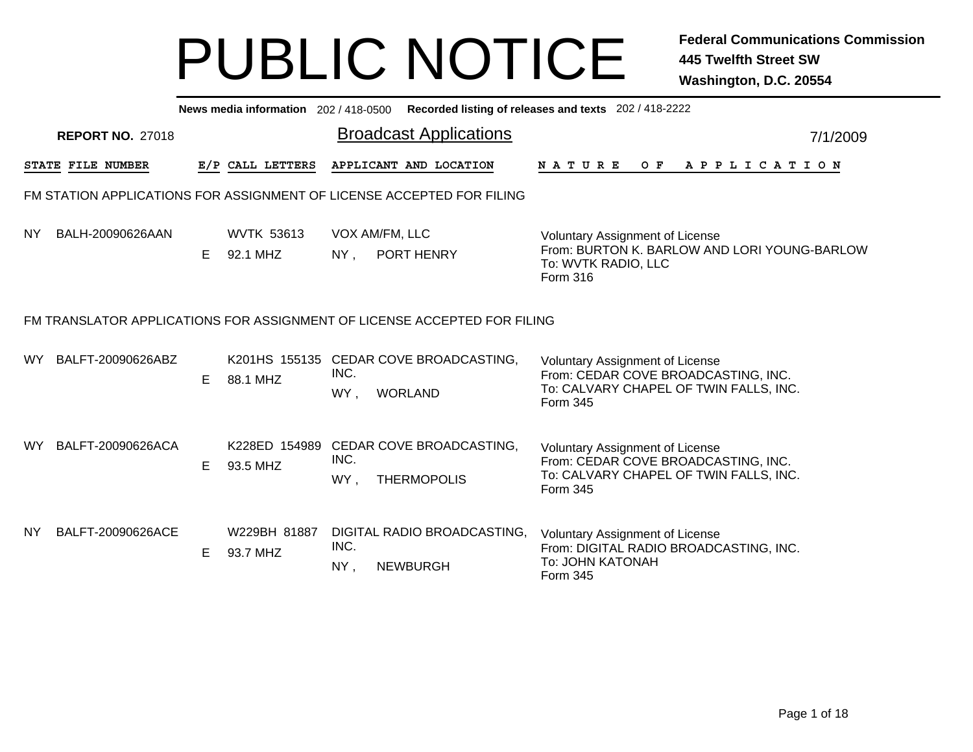|           |                         |    |                               |             | News media information 202 / 418-0500 Recorded listing of releases and texts 202 / 418-2222 |                                                                                                                                     |
|-----------|-------------------------|----|-------------------------------|-------------|---------------------------------------------------------------------------------------------|-------------------------------------------------------------------------------------------------------------------------------------|
|           | <b>REPORT NO. 27018</b> |    |                               |             | <b>Broadcast Applications</b>                                                               | 7/1/2009                                                                                                                            |
|           | STATE FILE NUMBER       |    | E/P CALL LETTERS              |             | APPLICANT AND LOCATION                                                                      | N A T U R E<br>OF APPLICATION                                                                                                       |
|           |                         |    |                               |             | FM STATION APPLICATIONS FOR ASSIGNMENT OF LICENSE ACCEPTED FOR FILING                       |                                                                                                                                     |
| <b>NY</b> | BALH-20090626AAN        | E  | <b>WVTK 53613</b><br>92.1 MHZ | $NY$ ,      | VOX AM/FM, LLC<br>PORT HENRY                                                                | <b>Voluntary Assignment of License</b><br>From: BURTON K. BARLOW AND LORI YOUNG-BARLOW<br>To: WVTK RADIO, LLC<br>Form 316           |
|           |                         |    |                               |             | FM TRANSLATOR APPLICATIONS FOR ASSIGNMENT OF LICENSE ACCEPTED FOR FILING                    |                                                                                                                                     |
| WY.       | BALFT-20090626ABZ       | Е  | 88.1 MHZ                      | INC.<br>WY, | K201HS 155135 CEDAR COVE BROADCASTING,<br><b>WORLAND</b>                                    | <b>Voluntary Assignment of License</b><br>From: CEDAR COVE BROADCASTING, INC.<br>To: CALVARY CHAPEL OF TWIN FALLS, INC.<br>Form 345 |
| WY.       | BALFT-20090626ACA       | E. | 93.5 MHZ                      | INC.<br>WY, | K228ED 154989 CEDAR COVE BROADCASTING,<br><b>THERMOPOLIS</b>                                | <b>Voluntary Assignment of License</b><br>From: CEDAR COVE BROADCASTING, INC.<br>To: CALVARY CHAPEL OF TWIN FALLS, INC.<br>Form 345 |
| NY.       | BALFT-20090626ACE       | E  | W229BH 81887<br>93.7 MHZ      | INC.<br>NY, | DIGITAL RADIO BROADCASTING,<br><b>NEWBURGH</b>                                              | <b>Voluntary Assignment of License</b><br>From: DIGITAL RADIO BROADCASTING, INC.<br>To: JOHN KATONAH<br>Form 345                    |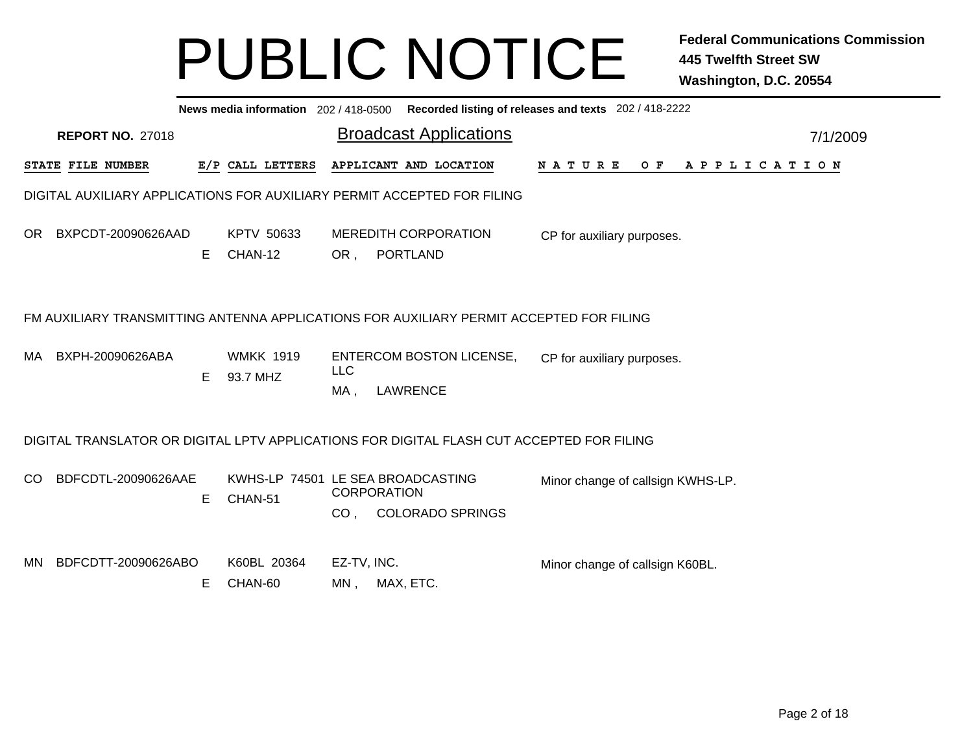|                                                                                                                                                                                                                                                                  | News media information 202/418-0500 Recorded listing of releases and texts 202/418-2222 |   |                        |                    |                                                                         |                                 |          |  |  |  |  |  |  |  |  |
|------------------------------------------------------------------------------------------------------------------------------------------------------------------------------------------------------------------------------------------------------------------|-----------------------------------------------------------------------------------------|---|------------------------|--------------------|-------------------------------------------------------------------------|---------------------------------|----------|--|--|--|--|--|--|--|--|
|                                                                                                                                                                                                                                                                  | <b>REPORT NO. 27018</b>                                                                 |   |                        |                    | <b>Broadcast Applications</b>                                           |                                 | 7/1/2009 |  |  |  |  |  |  |  |  |
|                                                                                                                                                                                                                                                                  | STATE FILE NUMBER                                                                       |   | E/P CALL LETTERS       |                    | APPLICANT AND LOCATION                                                  | <b>NATURE</b><br>OF APPLICATION |          |  |  |  |  |  |  |  |  |
|                                                                                                                                                                                                                                                                  |                                                                                         |   |                        |                    | DIGITAL AUXILIARY APPLICATIONS FOR AUXILIARY PERMIT ACCEPTED FOR FILING |                                 |          |  |  |  |  |  |  |  |  |
| OR.                                                                                                                                                                                                                                                              | BXPCDT-20090626AAD                                                                      | Е | KPTV 50633<br>CHAN-12  | OR,                | <b>MEREDITH CORPORATION</b><br><b>PORTLAND</b>                          | CP for auxiliary purposes.      |          |  |  |  |  |  |  |  |  |
|                                                                                                                                                                                                                                                                  |                                                                                         |   |                        |                    |                                                                         |                                 |          |  |  |  |  |  |  |  |  |
| FM AUXILIARY TRANSMITTING ANTENNA APPLICATIONS FOR AUXILIARY PERMIT ACCEPTED FOR FILING<br>BXPH-20090626ABA<br><b>WMKK 1919</b><br><b>ENTERCOM BOSTON LICENSE,</b><br>MA.<br>CP for auxiliary purposes.<br><b>LLC</b><br>Е<br>93.7 MHZ<br><b>LAWRENCE</b><br>MA, |                                                                                         |   |                        |                    |                                                                         |                                 |          |  |  |  |  |  |  |  |  |
|                                                                                                                                                                                                                                                                  |                                                                                         |   |                        |                    |                                                                         |                                 |          |  |  |  |  |  |  |  |  |
| DIGITAL TRANSLATOR OR DIGITAL LPTV APPLICATIONS FOR DIGITAL FLASH CUT ACCEPTED FOR FILING<br>BDFCDTL-20090626AAE<br>KWHS-LP 74501 LE SEA BROADCASTING<br>CO.<br>Minor change of callsign KWHS-LP.<br><b>CORPORATION</b><br>CHAN-51<br>E.<br>CO, COLORADO SPRINGS |                                                                                         |   |                        |                    |                                                                         |                                 |          |  |  |  |  |  |  |  |  |
| MN                                                                                                                                                                                                                                                               | BDFCDTT-20090626ABO                                                                     | Е | K60BL 20364<br>CHAN-60 | EZ-TV, INC.<br>MN, | MAX, ETC.                                                               | Minor change of callsign K60BL. |          |  |  |  |  |  |  |  |  |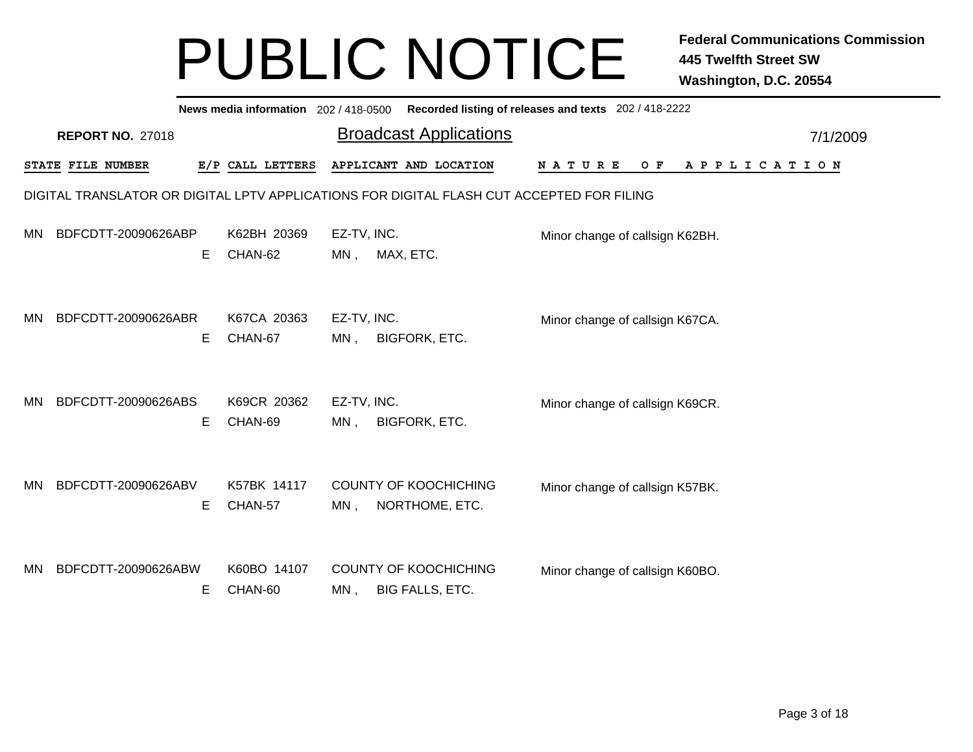|           |                         |    |                        |                       | News media information 202/418-0500 Recorded listing of releases and texts 202/418-2222   |                                 |       |                       |          |
|-----------|-------------------------|----|------------------------|-----------------------|-------------------------------------------------------------------------------------------|---------------------------------|-------|-----------------------|----------|
|           | <b>REPORT NO. 27018</b> |    |                        |                       | <b>Broadcast Applications</b>                                                             |                                 |       |                       | 7/1/2009 |
|           | STATE FILE NUMBER       |    | E/P CALL LETTERS       |                       | APPLICANT AND LOCATION                                                                    | <b>NATURE</b>                   | $O$ F | A P P L I C A T I O N |          |
|           |                         |    |                        |                       | DIGITAL TRANSLATOR OR DIGITAL LPTV APPLICATIONS FOR DIGITAL FLASH CUT ACCEPTED FOR FILING |                                 |       |                       |          |
| <b>MN</b> | BDFCDTT-20090626ABP     | Е  | K62BH 20369<br>CHAN-62 | EZ-TV, INC.<br>$MN$ , | MAX, ETC.                                                                                 | Minor change of callsign K62BH. |       |                       |          |
| <b>MN</b> | BDFCDTT-20090626ABR     | Е  | K67CA 20363<br>CHAN-67 | EZ-TV, INC.<br>MN,    | <b>BIGFORK, ETC.</b>                                                                      | Minor change of callsign K67CA. |       |                       |          |
| MN        | BDFCDTT-20090626ABS     | Е  | K69CR 20362<br>CHAN-69 | EZ-TV, INC.<br>$MN$ , | <b>BIGFORK, ETC.</b>                                                                      | Minor change of callsign K69CR. |       |                       |          |
| MN        | BDFCDTT-20090626ABV     | Е  | K57BK 14117<br>CHAN-57 | $MN$ ,                | <b>COUNTY OF KOOCHICHING</b><br>NORTHOME, ETC.                                            | Minor change of callsign K57BK. |       |                       |          |
| MN        | BDFCDTT-20090626ABW     | E. | K60BO 14107<br>CHAN-60 | MN,                   | <b>COUNTY OF KOOCHICHING</b><br><b>BIG FALLS, ETC.</b>                                    | Minor change of callsign K60BO. |       |                       |          |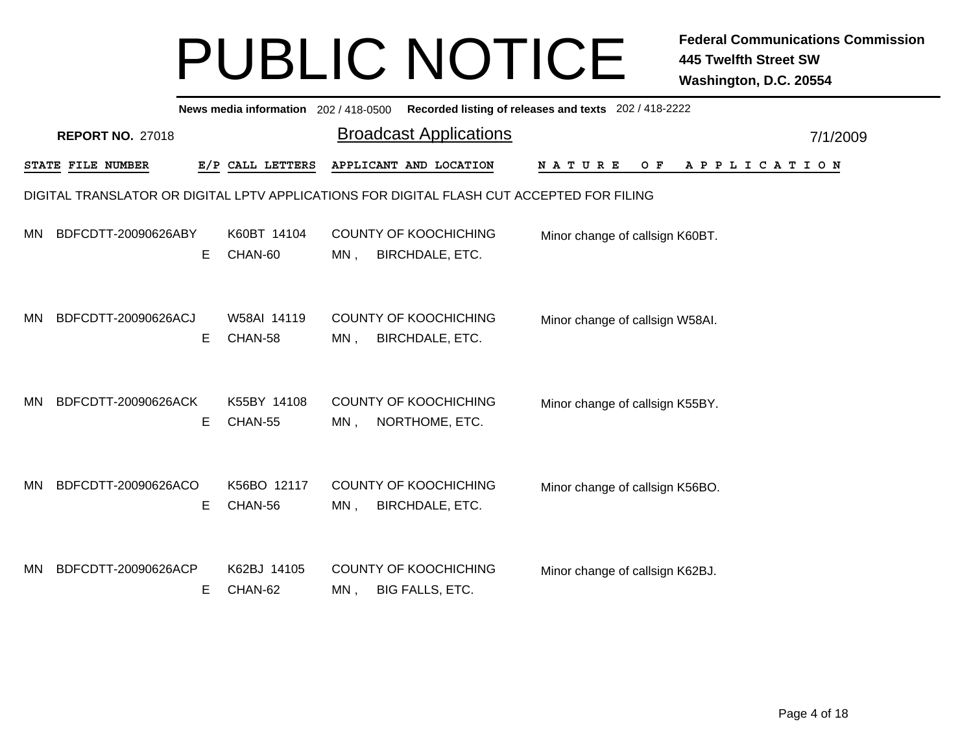|           |                         |    |                        |     | News media information 202 / 418-0500 Recorded listing of releases and texts 202 / 418-2222 |                                 |     |                       |          |
|-----------|-------------------------|----|------------------------|-----|---------------------------------------------------------------------------------------------|---------------------------------|-----|-----------------------|----------|
|           | <b>REPORT NO. 27018</b> |    |                        |     | <b>Broadcast Applications</b>                                                               |                                 |     |                       | 7/1/2009 |
|           | STATE FILE NUMBER       |    | E/P CALL LETTERS       |     | APPLICANT AND LOCATION                                                                      | <b>NATURE</b>                   | O F | A P P L I C A T I O N |          |
|           |                         |    |                        |     | DIGITAL TRANSLATOR OR DIGITAL LPTV APPLICATIONS FOR DIGITAL FLASH CUT ACCEPTED FOR FILING   |                                 |     |                       |          |
| MN.       | BDFCDTT-20090626ABY     | Е  | K60BT 14104<br>CHAN-60 | MN, | <b>COUNTY OF KOOCHICHING</b><br><b>BIRCHDALE, ETC.</b>                                      | Minor change of callsign K60BT. |     |                       |          |
| <b>MN</b> | BDFCDTT-20090626ACJ     | Е  | W58AI 14119<br>CHAN-58 | MN, | <b>COUNTY OF KOOCHICHING</b><br><b>BIRCHDALE, ETC.</b>                                      | Minor change of callsign W58AI. |     |                       |          |
| <b>MN</b> | BDFCDTT-20090626ACK     | E. | K55BY 14108<br>CHAN-55 | MN, | <b>COUNTY OF KOOCHICHING</b><br>NORTHOME, ETC.                                              | Minor change of callsign K55BY. |     |                       |          |
| MN.       | BDFCDTT-20090626ACO     | E. | K56BO 12117<br>CHAN-56 | MN, | <b>COUNTY OF KOOCHICHING</b><br><b>BIRCHDALE, ETC.</b>                                      | Minor change of callsign K56BO. |     |                       |          |
| MN        | BDFCDTT-20090626ACP     | E. | K62BJ 14105<br>CHAN-62 | MN, | <b>COUNTY OF KOOCHICHING</b><br><b>BIG FALLS, ETC.</b>                                      | Minor change of callsign K62BJ. |     |                       |          |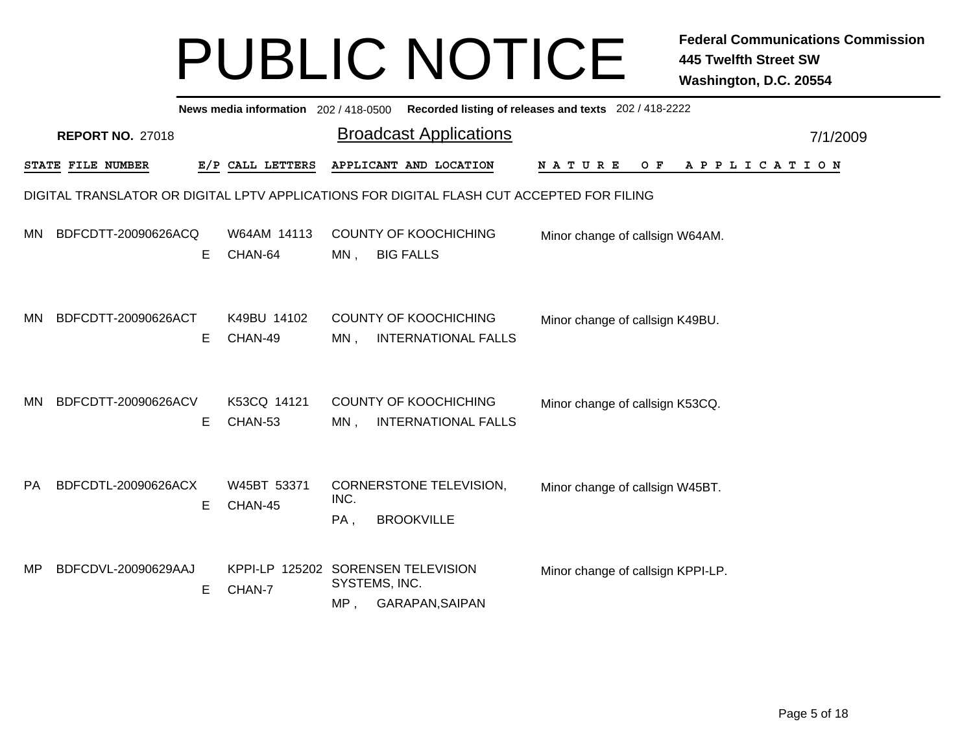|           | News media information 202/418-0500 Recorded listing of releases and texts 202/418-2222<br><b>Broadcast Applications</b> |   |                                              |                                                             |                            |                                   |  |  |  |       |  |  |  |  |             |          |  |
|-----------|--------------------------------------------------------------------------------------------------------------------------|---|----------------------------------------------|-------------------------------------------------------------|----------------------------|-----------------------------------|--|--|--|-------|--|--|--|--|-------------|----------|--|
|           | <b>REPORT NO. 27018</b>                                                                                                  |   |                                              |                                                             |                            |                                   |  |  |  |       |  |  |  |  |             | 7/1/2009 |  |
|           | STATE FILE NUMBER                                                                                                        |   | E/P CALL LETTERS                             | APPLICANT AND LOCATION                                      |                            | N A T U R E                       |  |  |  | $O$ F |  |  |  |  | APPLICATION |          |  |
|           | DIGITAL TRANSLATOR OR DIGITAL LPTV APPLICATIONS FOR DIGITAL FLASH CUT ACCEPTED FOR FILING                                |   |                                              |                                                             |                            |                                   |  |  |  |       |  |  |  |  |             |          |  |
| <b>MN</b> | BDFCDTT-20090626ACQ                                                                                                      | Е | W64AM 14113<br>CHAN-64                       | <b>COUNTY OF KOOCHICHING</b><br><b>BIG FALLS</b><br>$MN$ ,  |                            | Minor change of callsign W64AM.   |  |  |  |       |  |  |  |  |             |          |  |
| MN        | BDFCDTT-20090626ACT                                                                                                      | Е | K49BU 14102<br>CHAN-49                       | <b>COUNTY OF KOOCHICHING</b><br>$MN$ ,                      | <b>INTERNATIONAL FALLS</b> | Minor change of callsign K49BU.   |  |  |  |       |  |  |  |  |             |          |  |
| <b>MN</b> | BDFCDTT-20090626ACV                                                                                                      | Е | K53CQ 14121<br>CHAN-53                       | <b>COUNTY OF KOOCHICHING</b><br>MN,                         | <b>INTERNATIONAL FALLS</b> | Minor change of callsign K53CQ.   |  |  |  |       |  |  |  |  |             |          |  |
| <b>PA</b> | BDFCDTL-20090626ACX                                                                                                      | Е | W45BT 53371<br>CHAN-45                       | CORNERSTONE TELEVISION,<br>INC.<br><b>BROOKVILLE</b><br>PA, |                            | Minor change of callsign W45BT.   |  |  |  |       |  |  |  |  |             |          |  |
| MP        | BDFCDVL-20090629AAJ                                                                                                      | Е | KPPI-LP 125202 SORENSEN TELEVISION<br>CHAN-7 | SYSTEMS, INC.<br>MP,<br>GARAPAN, SAIPAN                     |                            | Minor change of callsign KPPI-LP. |  |  |  |       |  |  |  |  |             |          |  |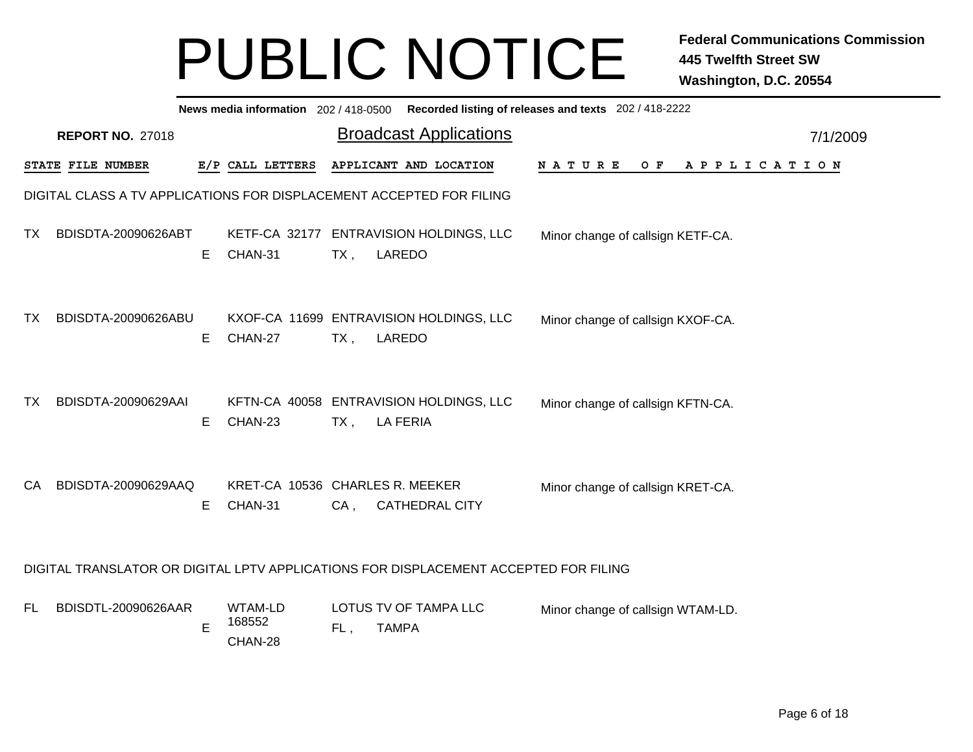|           |                                                                                      |    | News media information 202 / 418-0500 Recorded listing of releases and texts 202 / 418-2222 |        |                                       |  |                                   |  |     |                       |  |  |  |          |
|-----------|--------------------------------------------------------------------------------------|----|---------------------------------------------------------------------------------------------|--------|---------------------------------------|--|-----------------------------------|--|-----|-----------------------|--|--|--|----------|
|           | <b>REPORT NO. 27018</b>                                                              |    |                                                                                             |        | <b>Broadcast Applications</b>         |  |                                   |  |     |                       |  |  |  | 7/1/2009 |
|           | STATE FILE NUMBER                                                                    |    | E/P CALL LETTERS                                                                            |        | APPLICANT AND LOCATION                |  | NATURE                            |  | O F | A P P L I C A T I O N |  |  |  |          |
|           | DIGITAL CLASS A TV APPLICATIONS FOR DISPLACEMENT ACCEPTED FOR FILING                 |    |                                                                                             |        |                                       |  |                                   |  |     |                       |  |  |  |          |
| TX        | BDISDTA-20090626ABT                                                                  | E. | KETF-CA 32177 ENTRAVISION HOLDINGS, LLC<br>CHAN-31                                          | TX,    | LAREDO                                |  | Minor change of callsign KETF-CA. |  |     |                       |  |  |  |          |
| TX        | BDISDTA-20090626ABU                                                                  | Е  | KXOF-CA 11699 ENTRAVISION HOLDINGS, LLC<br>CHAN-27                                          | $TX$ , | LAREDO                                |  | Minor change of callsign KXOF-CA. |  |     |                       |  |  |  |          |
| TX        | BDISDTA-20090629AAI                                                                  | Е  | KFTN-CA 40058 ENTRAVISION HOLDINGS, LLC<br>CHAN-23                                          | TX,    | <b>LA FERIA</b>                       |  | Minor change of callsign KFTN-CA. |  |     |                       |  |  |  |          |
| CA        | BDISDTA-20090629AAQ                                                                  | E. | KRET-CA 10536 CHARLES R. MEEKER<br>CHAN-31                                                  | $CA$ , | <b>CATHEDRAL CITY</b>                 |  | Minor change of callsign KRET-CA. |  |     |                       |  |  |  |          |
|           | DIGITAL TRANSLATOR OR DIGITAL LPTV APPLICATIONS FOR DISPLACEMENT ACCEPTED FOR FILING |    |                                                                                             |        |                                       |  |                                   |  |     |                       |  |  |  |          |
| <b>FL</b> | BDISDTL-20090626AAR                                                                  | E  | WTAM-LD<br>168552<br>CHAN-28                                                                | FL,    | LOTUS TV OF TAMPA LLC<br><b>TAMPA</b> |  | Minor change of callsign WTAM-LD. |  |     |                       |  |  |  |          |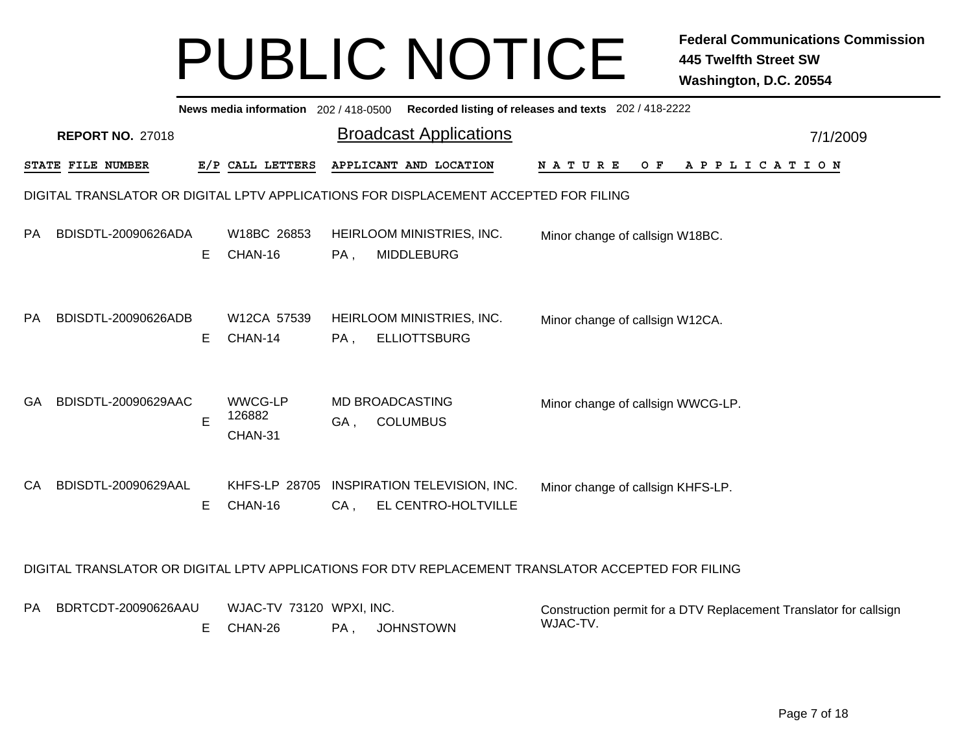|           |                         |   |                                     |                                 | News media information 202 / 418-0500 Recorded listing of releases and texts 202 / 418-2222        |                                   |  |     |  |  |                       |  |                                                                   |  |
|-----------|-------------------------|---|-------------------------------------|---------------------------------|----------------------------------------------------------------------------------------------------|-----------------------------------|--|-----|--|--|-----------------------|--|-------------------------------------------------------------------|--|
|           | <b>REPORT NO. 27018</b> |   |                                     |                                 | <b>Broadcast Applications</b>                                                                      |                                   |  |     |  |  |                       |  | 7/1/2009                                                          |  |
|           | STATE FILE NUMBER       |   | E/P CALL LETTERS                    |                                 | APPLICANT AND LOCATION                                                                             | N A T U R E                       |  | O F |  |  | A P P L I C A T I O N |  |                                                                   |  |
|           |                         |   |                                     |                                 | DIGITAL TRANSLATOR OR DIGITAL LPTV APPLICATIONS FOR DISPLACEMENT ACCEPTED FOR FILING               |                                   |  |     |  |  |                       |  |                                                                   |  |
| PA.       | BDISDTL-20090626ADA     | Е | W18BC 26853<br>CHAN-16              | PA,                             | HEIRLOOM MINISTRIES, INC.<br><b>MIDDLEBURG</b>                                                     | Minor change of callsign W18BC.   |  |     |  |  |                       |  |                                                                   |  |
| <b>PA</b> | BDISDTL-20090626ADB     | Е | W12CA 57539<br>CHAN-14              | Minor change of callsign W12CA. |                                                                                                    |                                   |  |     |  |  |                       |  |                                                                   |  |
| GA        | BDISDTL-20090629AAC     | E | <b>WWCG-LP</b><br>126882<br>CHAN-31 | GA,                             | MD BROADCASTING<br><b>COLUMBUS</b>                                                                 | Minor change of callsign WWCG-LP. |  |     |  |  |                       |  |                                                                   |  |
| CA.       | BDISDTL-20090629AAL     | E | CHAN-16                             | $CA$ ,                          | KHFS-LP 28705 INSPIRATION TELEVISION, INC.<br>EL CENTRO-HOLTVILLE                                  | Minor change of callsign KHFS-LP. |  |     |  |  |                       |  |                                                                   |  |
|           |                         |   |                                     |                                 | DIGITAL TRANSLATOR OR DIGITAL LPTV APPLICATIONS FOR DTV REPLACEMENT TRANSLATOR ACCEPTED FOR FILING |                                   |  |     |  |  |                       |  |                                                                   |  |
| PA.       | BDRTCDT-20090626AAU     | Е | WJAC-TV 73120 WPXI, INC.<br>CHAN-26 | PA,                             | <b>JOHNSTOWN</b>                                                                                   | WJAC-TV.                          |  |     |  |  |                       |  | Construction permit for a DTV Replacement Translator for callsign |  |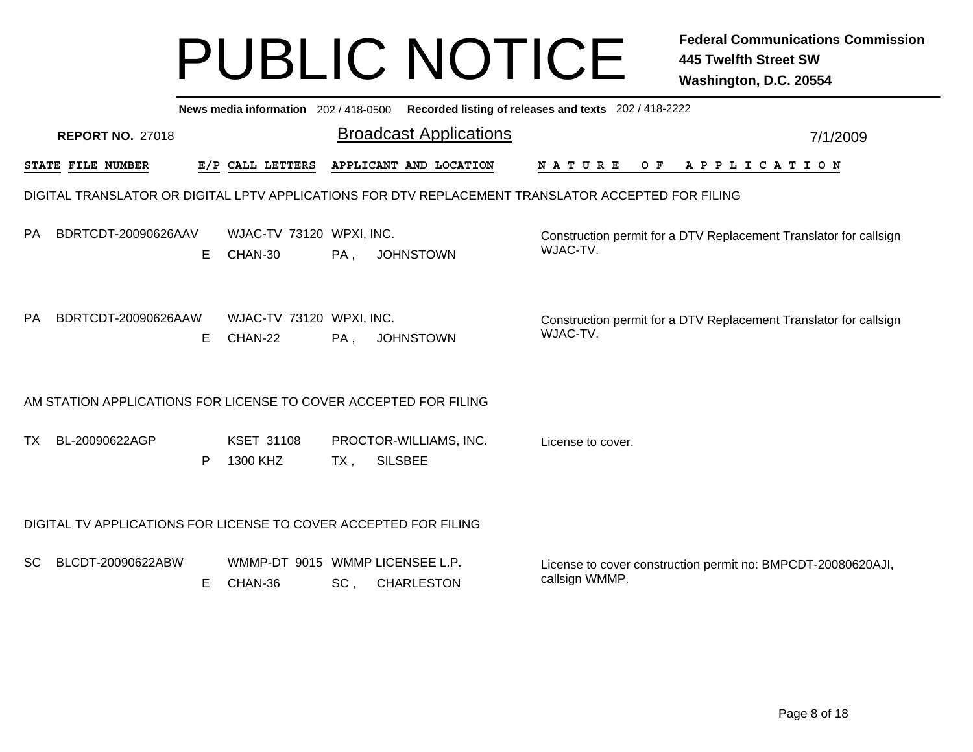|           |                   |                         |    | News media information 202 / 418-0500      |     | Recorded listing of releases and texts 202 / 418-2222                                              |                                                                                |     |  |  |                       |  |          |  |
|-----------|-------------------|-------------------------|----|--------------------------------------------|-----|----------------------------------------------------------------------------------------------------|--------------------------------------------------------------------------------|-----|--|--|-----------------------|--|----------|--|
|           |                   | <b>REPORT NO. 27018</b> |    |                                            |     | <b>Broadcast Applications</b>                                                                      |                                                                                |     |  |  |                       |  | 7/1/2009 |  |
|           | STATE FILE NUMBER |                         |    | E/P CALL LETTERS                           |     | APPLICANT AND LOCATION                                                                             | <b>NATURE</b>                                                                  | O F |  |  | A P P L I C A T I O N |  |          |  |
|           |                   |                         |    |                                            |     | DIGITAL TRANSLATOR OR DIGITAL LPTV APPLICATIONS FOR DTV REPLACEMENT TRANSLATOR ACCEPTED FOR FILING |                                                                                |     |  |  |                       |  |          |  |
| <b>PA</b> |                   | BDRTCDT-20090626AAV     | E. | WJAC-TV 73120 WPXI, INC.<br>CHAN-30        | PA, | <b>JOHNSTOWN</b>                                                                                   | Construction permit for a DTV Replacement Translator for callsign<br>WJAC-TV.  |     |  |  |                       |  |          |  |
| <b>PA</b> |                   | BDRTCDT-20090626AAW     | E. | WJAC-TV 73120 WPXI, INC.<br>CHAN-22        | PA, | <b>JOHNSTOWN</b>                                                                                   | Construction permit for a DTV Replacement Translator for callsign<br>WJAC-TV.  |     |  |  |                       |  |          |  |
|           |                   |                         |    |                                            |     | AM STATION APPLICATIONS FOR LICENSE TO COVER ACCEPTED FOR FILING                                   |                                                                                |     |  |  |                       |  |          |  |
| <b>TX</b> |                   | BL-20090622AGP          | P  | <b>KSET 31108</b><br>1300 KHZ              | TX, | PROCTOR-WILLIAMS, INC.<br><b>SILSBEE</b>                                                           | License to cover.                                                              |     |  |  |                       |  |          |  |
|           |                   |                         |    |                                            |     | DIGITAL TV APPLICATIONS FOR LICENSE TO COVER ACCEPTED FOR FILING                                   |                                                                                |     |  |  |                       |  |          |  |
| <b>SC</b> |                   | BLCDT-20090622ABW       | Е  | WMMP-DT 9015 WMMP LICENSEE L.P.<br>CHAN-36 | SC, | <b>CHARLESTON</b>                                                                                  | License to cover construction permit no: BMPCDT-20080620AJI,<br>callsign WMMP. |     |  |  |                       |  |          |  |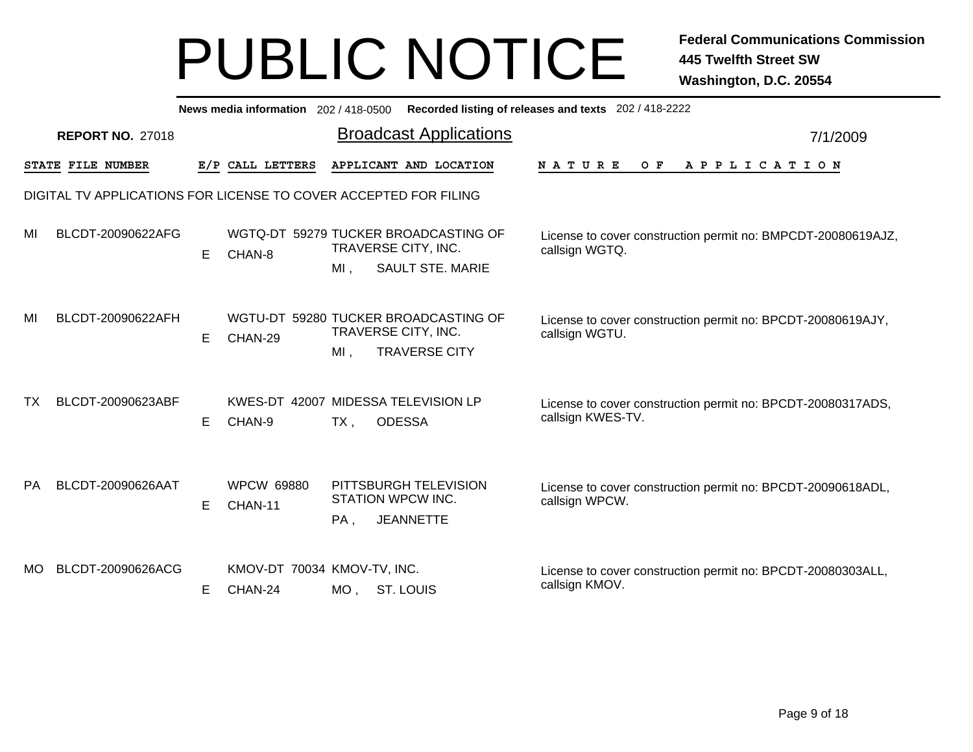|           | News media information 202 / 418-0500 Recorded listing of releases and texts 202 / 418-2222 |   |                                        |                                                                                               |                                                                                  |          |  |  |  |  |  |  |  |  |
|-----------|---------------------------------------------------------------------------------------------|---|----------------------------------------|-----------------------------------------------------------------------------------------------|----------------------------------------------------------------------------------|----------|--|--|--|--|--|--|--|--|
|           | <b>REPORT NO. 27018</b>                                                                     |   |                                        | <b>Broadcast Applications</b>                                                                 |                                                                                  | 7/1/2009 |  |  |  |  |  |  |  |  |
|           | STATE FILE NUMBER                                                                           |   | E/P CALL LETTERS                       | APPLICANT AND LOCATION                                                                        | A P P L I C A T I O N<br>N A T U R E<br>O F                                      |          |  |  |  |  |  |  |  |  |
|           |                                                                                             |   |                                        | DIGITAL TV APPLICATIONS FOR LICENSE TO COVER ACCEPTED FOR FILING                              |                                                                                  |          |  |  |  |  |  |  |  |  |
| MI        | BLCDT-20090622AFG                                                                           | Е | CHAN-8                                 | WGTQ-DT 59279 TUCKER BROADCASTING OF<br>TRAVERSE CITY, INC.<br><b>SAULT STE. MARIE</b><br>MI, | License to cover construction permit no: BMPCDT-20080619AJZ,<br>callsign WGTQ.   |          |  |  |  |  |  |  |  |  |
| MI        | BLCDT-20090622AFH                                                                           | Е | CHAN-29                                | WGTU-DT 59280 TUCKER BROADCASTING OF<br>TRAVERSE CITY, INC.<br>MI.<br><b>TRAVERSE CITY</b>    | License to cover construction permit no: BPCDT-20080619AJY,<br>callsign WGTU.    |          |  |  |  |  |  |  |  |  |
| TX        | BLCDT-20090623ABF                                                                           | Е | CHAN-9                                 | KWES-DT 42007 MIDESSA TELEVISION LP<br><b>ODESSA</b><br>$TX$ ,                                | License to cover construction permit no: BPCDT-20080317ADS,<br>callsign KWES-TV. |          |  |  |  |  |  |  |  |  |
| <b>PA</b> | BLCDT-20090626AAT                                                                           | E | <b>WPCW 69880</b><br>CHAN-11           | PITTSBURGH TELEVISION<br>STATION WPCW INC.<br><b>JEANNETTE</b><br>PA,                         | License to cover construction permit no: BPCDT-20090618ADL,<br>callsign WPCW.    |          |  |  |  |  |  |  |  |  |
| MO.       | BLCDT-20090626ACG                                                                           | Е | KMOV-DT 70034 KMOV-TV, INC.<br>CHAN-24 | MO, ST. LOUIS                                                                                 | License to cover construction permit no: BPCDT-20080303ALL,<br>callsign KMOV.    |          |  |  |  |  |  |  |  |  |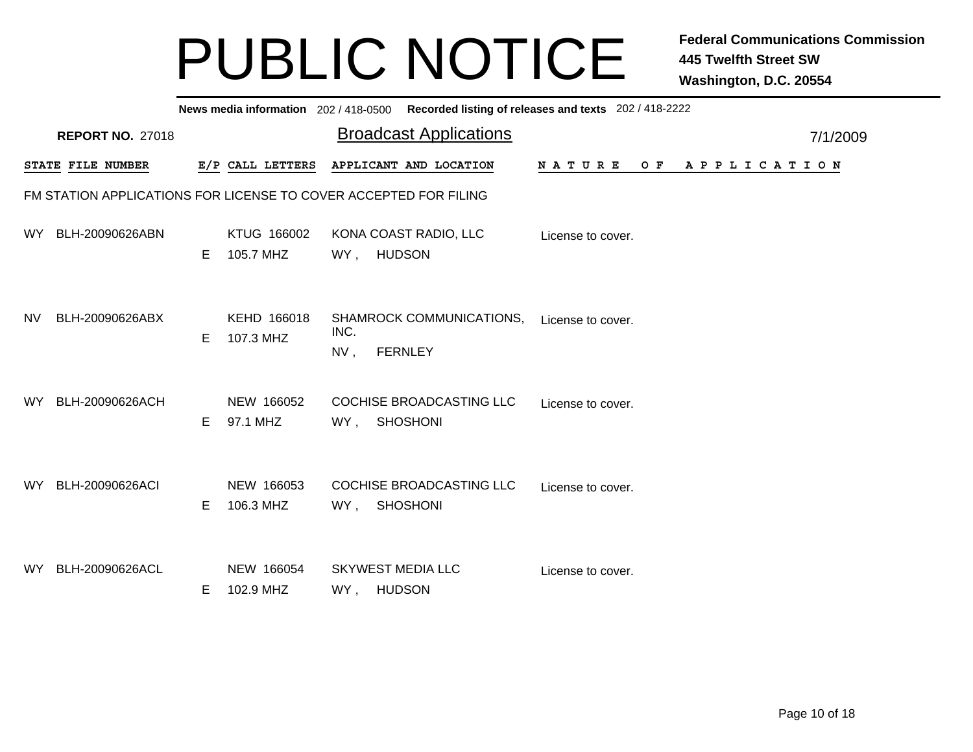|     |                         |    |                          | News media information 202/418-0500 Recorded listing of releases and texts 202/418-2222 |                   |                       |
|-----|-------------------------|----|--------------------------|-----------------------------------------------------------------------------------------|-------------------|-----------------------|
|     | <b>REPORT NO. 27018</b> |    |                          | <b>Broadcast Applications</b>                                                           |                   | 7/1/2009              |
|     | STATE FILE NUMBER       |    | E/P CALL LETTERS         | APPLICANT AND LOCATION                                                                  | NATURE<br>O F     | A P P L I C A T I O N |
|     |                         |    |                          | FM STATION APPLICATIONS FOR LICENSE TO COVER ACCEPTED FOR FILING                        |                   |                       |
| WY. | BLH-20090626ABN         | E  | KTUG 166002<br>105.7 MHZ | KONA COAST RADIO, LLC<br><b>HUDSON</b><br>WY,                                           | License to cover. |                       |
| NV. | BLH-20090626ABX         | E  | KEHD 166018<br>107.3 MHZ | <b>SHAMROCK COMMUNICATIONS,</b><br>INC.<br><b>FERNLEY</b><br>NV,                        | License to cover. |                       |
| WY. | BLH-20090626ACH         | E. | NEW 166052<br>97.1 MHZ   | COCHISE BROADCASTING LLC<br><b>SHOSHONI</b><br>WY,                                      | License to cover. |                       |
| WY. | BLH-20090626ACI         | Е  | NEW 166053<br>106.3 MHZ  | COCHISE BROADCASTING LLC<br><b>SHOSHONI</b><br>WY,                                      | License to cover. |                       |
| WY. | BLH-20090626ACL         | E  | NEW 166054<br>102.9 MHZ  | <b>SKYWEST MEDIA LLC</b><br>WY, HUDSON                                                  | License to cover. |                       |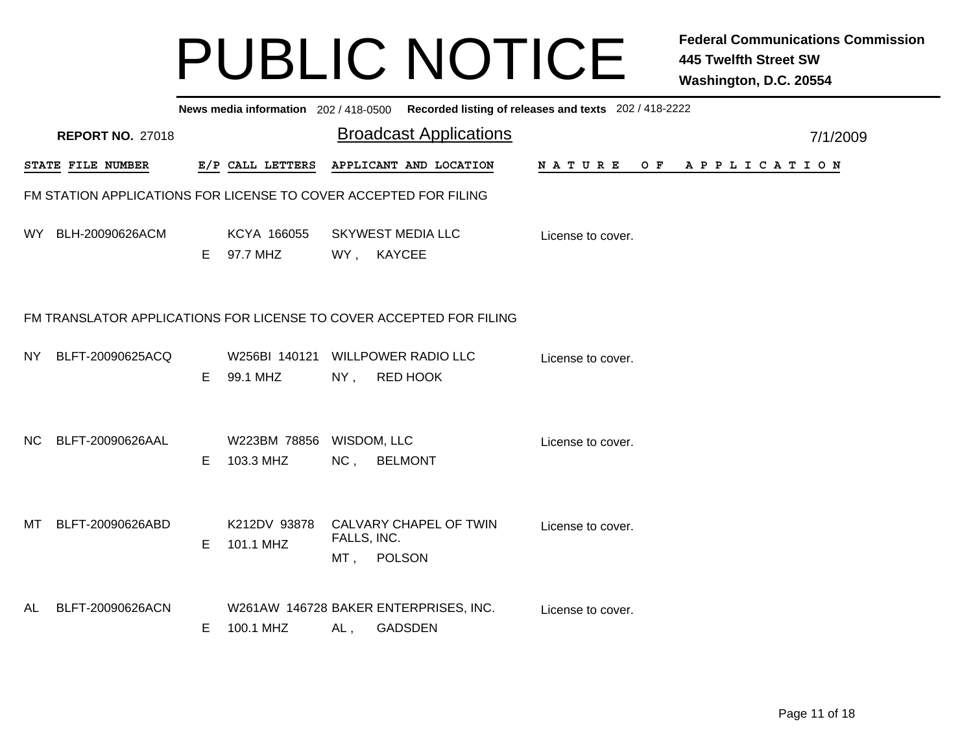|      |                                                                  |    |                                       |                       | News media information 202/418-0500 Recorded listing of releases and texts 202/418-2222 |                   |                |  |  |  |          |
|------|------------------------------------------------------------------|----|---------------------------------------|-----------------------|-----------------------------------------------------------------------------------------|-------------------|----------------|--|--|--|----------|
|      | <b>REPORT NO. 27018</b>                                          |    |                                       |                       | <b>Broadcast Applications</b>                                                           |                   |                |  |  |  | 7/1/2009 |
|      | STATE FILE NUMBER                                                |    | E/P CALL LETTERS                      |                       | APPLICANT AND LOCATION                                                                  | N A T U R E       | OF APPLICATION |  |  |  |          |
|      | FM STATION APPLICATIONS FOR LICENSE TO COVER ACCEPTED FOR FILING |    |                                       |                       |                                                                                         |                   |                |  |  |  |          |
|      | WY BLH-20090626ACM                                               | E. | KCYA 166055<br>97.7 MHZ               |                       | <b>SKYWEST MEDIA LLC</b><br>WY, KAYCEE                                                  | License to cover. |                |  |  |  |          |
|      |                                                                  |    |                                       |                       | FM TRANSLATOR APPLICATIONS FOR LICENSE TO COVER ACCEPTED FOR FILING                     |                   |                |  |  |  |          |
| NY I | BLFT-20090625ACQ                                                 | E  | 99.1 MHZ                              | $NY$ ,                | W256BI 140121 WILLPOWER RADIO LLC<br><b>RED HOOK</b>                                    | License to cover. |                |  |  |  |          |
| NC.  | BLFT-20090626AAL                                                 | E  | W223BM 78856 WISDOM, LLC<br>103.3 MHZ |                       | NC, BELMONT                                                                             | License to cover. |                |  |  |  |          |
| MT   | BLFT-20090626ABD                                                 | E  | K212DV 93878<br>101.1 MHZ             | FALLS, INC.<br>$MT$ , | CALVARY CHAPEL OF TWIN<br>POLSON                                                        | License to cover. |                |  |  |  |          |
| AL   | BLFT-20090626ACN                                                 | E. | 100.1 MHZ                             | AL,                   | W261AW 146728 BAKER ENTERPRISES, INC.<br><b>GADSDEN</b>                                 | License to cover. |                |  |  |  |          |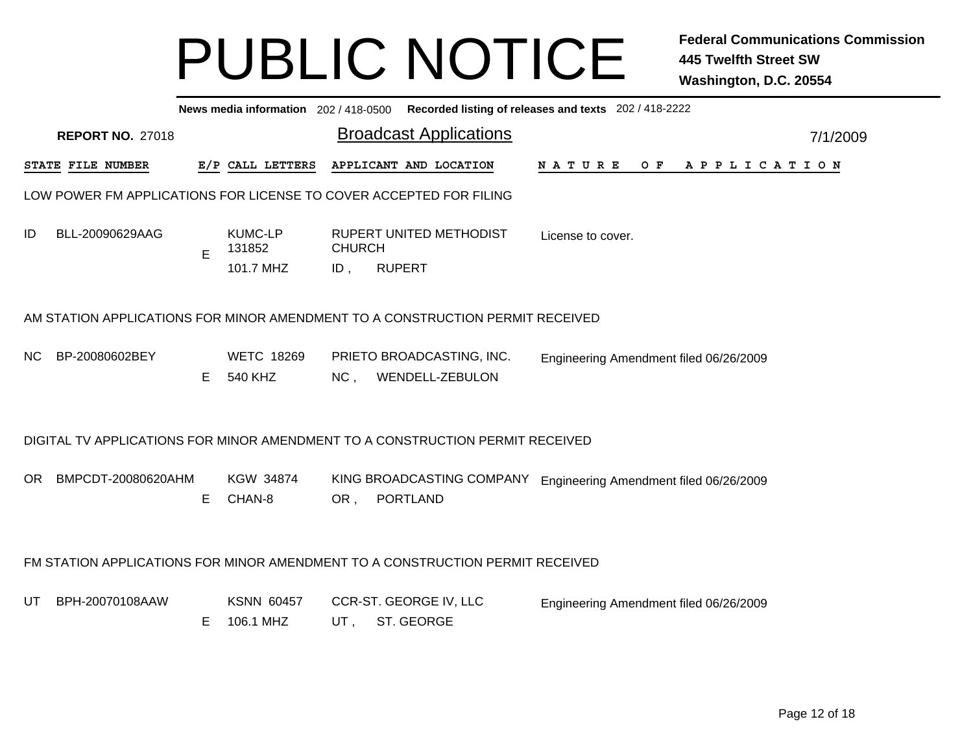|     | News media information 202/418-0500 Recorded listing of releases and texts 202/418-2222<br><b>Broadcast Applications</b><br><b>REPORT NO. 27018</b><br>7/1/2009 |   |                                       |                      |               |                                              |                                        |  |  |  |  |  |  |  |  |  |  |  |
|-----|-----------------------------------------------------------------------------------------------------------------------------------------------------------------|---|---------------------------------------|----------------------|---------------|----------------------------------------------|----------------------------------------|--|--|--|--|--|--|--|--|--|--|--|
|     |                                                                                                                                                                 |   |                                       |                      |               |                                              |                                        |  |  |  |  |  |  |  |  |  |  |  |
|     | <b>STATE FILE NUMBER</b>                                                                                                                                        |   | E/P CALL LETTERS                      |                      |               | APPLICANT AND LOCATION                       | NATURE OF APPLICATION                  |  |  |  |  |  |  |  |  |  |  |  |
|     | LOW POWER FM APPLICATIONS FOR LICENSE TO COVER ACCEPTED FOR FILING                                                                                              |   |                                       |                      |               |                                              |                                        |  |  |  |  |  |  |  |  |  |  |  |
| ID  | BLL-20090629AAG                                                                                                                                                 | E | <b>KUMC-LP</b><br>131852<br>101.7 MHZ | <b>CHURCH</b><br>ID, | <b>RUPERT</b> | <b>RUPERT UNITED METHODIST</b>               | License to cover.                      |  |  |  |  |  |  |  |  |  |  |  |
|     | AM STATION APPLICATIONS FOR MINOR AMENDMENT TO A CONSTRUCTION PERMIT RECEIVED                                                                                   |   |                                       |                      |               |                                              |                                        |  |  |  |  |  |  |  |  |  |  |  |
| NC. | BP-20080602BEY                                                                                                                                                  | Е | <b>WETC 18269</b><br>540 KHZ          | NC <sub>1</sub>      |               | PRIETO BROADCASTING, INC.<br>WENDELL-ZEBULON | Engineering Amendment filed 06/26/2009 |  |  |  |  |  |  |  |  |  |  |  |
|     | DIGITAL TV APPLICATIONS FOR MINOR AMENDMENT TO A CONSTRUCTION PERMIT RECEIVED                                                                                   |   |                                       |                      |               |                                              |                                        |  |  |  |  |  |  |  |  |  |  |  |
| OR  | BMPCDT-20080620AHM                                                                                                                                              | E | KGW 34874<br>CHAN-8                   | OR,                  |               | KING BROADCASTING COMPANY<br>PORTLAND        | Engineering Amendment filed 06/26/2009 |  |  |  |  |  |  |  |  |  |  |  |
|     | FM STATION APPLICATIONS FOR MINOR AMENDMENT TO A CONSTRUCTION PERMIT RECEIVED                                                                                   |   |                                       |                      |               |                                              |                                        |  |  |  |  |  |  |  |  |  |  |  |
| UT  | BPH-20070108AAW                                                                                                                                                 | E | <b>KSNN 60457</b><br>106.1 MHZ        | UT,                  |               | CCR-ST. GEORGE IV, LLC<br>ST. GEORGE         | Engineering Amendment filed 06/26/2009 |  |  |  |  |  |  |  |  |  |  |  |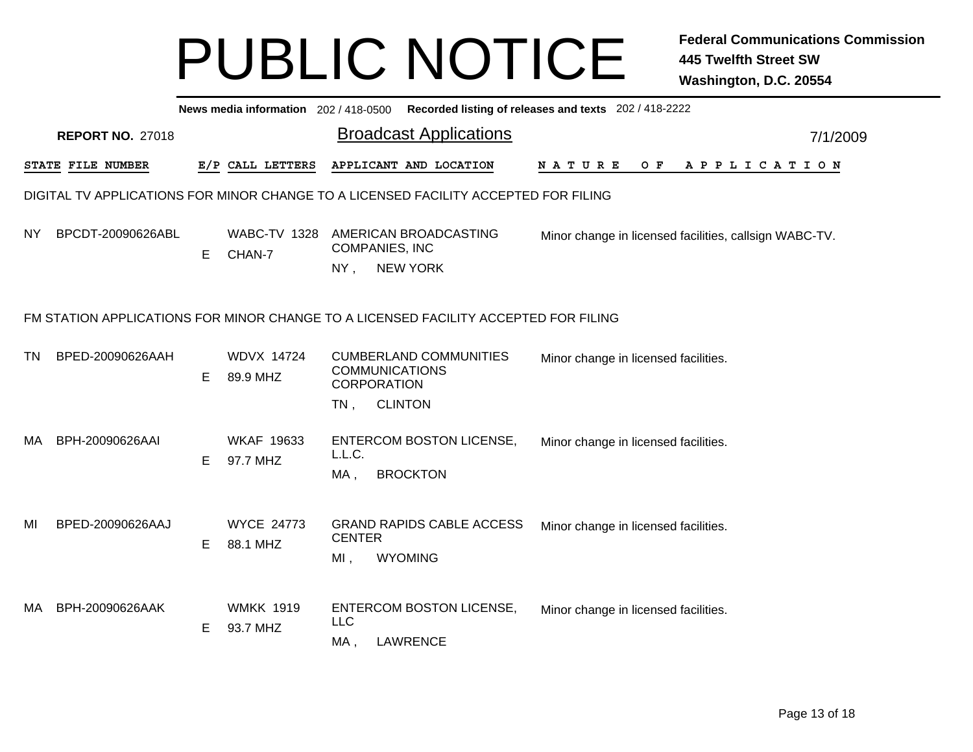|           | News media information 202/418-0500 Recorded listing of releases and texts 202/418-2222 |    |                               |                                                       |                                                    |                                      |                                                        |  |  |  |  |  |  |  |
|-----------|-----------------------------------------------------------------------------------------|----|-------------------------------|-------------------------------------------------------|----------------------------------------------------|--------------------------------------|--------------------------------------------------------|--|--|--|--|--|--|--|
|           | <b>REPORT NO. 27018</b>                                                                 |    |                               |                                                       | <b>Broadcast Applications</b>                      | 7/1/2009                             |                                                        |  |  |  |  |  |  |  |
|           | STATE FILE NUMBER                                                                       |    | E/P CALL LETTERS              |                                                       | APPLICANT AND LOCATION                             | <b>NATURE</b><br>O F                 | APPLICATION                                            |  |  |  |  |  |  |  |
|           | DIGITAL TV APPLICATIONS FOR MINOR CHANGE TO A LICENSED FACILITY ACCEPTED FOR FILING     |    |                               |                                                       |                                                    |                                      |                                                        |  |  |  |  |  |  |  |
| NY.       | BPCDT-20090626ABL                                                                       | E. | <b>WABC-TV 1328</b><br>CHAN-7 | <b>COMPANIES, INC</b><br>NY,                          | AMERICAN BROADCASTING<br><b>NEW YORK</b>           |                                      | Minor change in licensed facilities, callsign WABC-TV. |  |  |  |  |  |  |  |
|           | FM STATION APPLICATIONS FOR MINOR CHANGE TO A LICENSED FACILITY ACCEPTED FOR FILING     |    |                               |                                                       |                                                    |                                      |                                                        |  |  |  |  |  |  |  |
| <b>TN</b> | BPED-20090626AAH                                                                        | E. | <b>WDVX 14724</b><br>89.9 MHZ | <b>COMMUNICATIONS</b><br><b>CORPORATION</b><br>$TN$ , | <b>CUMBERLAND COMMUNITIES</b><br><b>CLINTON</b>    | Minor change in licensed facilities. |                                                        |  |  |  |  |  |  |  |
| MA.       | BPH-20090626AAI                                                                         | E. | <b>WKAF 19633</b><br>97.7 MHZ | L.L.C.<br>MA,                                         | <b>ENTERCOM BOSTON LICENSE,</b><br><b>BROCKTON</b> | Minor change in licensed facilities. |                                                        |  |  |  |  |  |  |  |
| MI        | BPED-20090626AAJ                                                                        | E. | <b>WYCE 24773</b><br>88.1 MHZ | <b>CENTER</b><br>$MI$ ,                               | <b>GRAND RAPIDS CABLE ACCESS</b><br><b>WYOMING</b> | Minor change in licensed facilities. |                                                        |  |  |  |  |  |  |  |
| MA.       | BPH-20090626AAK                                                                         | E. | <b>WMKK 1919</b><br>93.7 MHZ  | <b>LLC</b><br>MA,                                     | ENTERCOM BOSTON LICENSE,<br><b>LAWRENCE</b>        | Minor change in licensed facilities. |                                                        |  |  |  |  |  |  |  |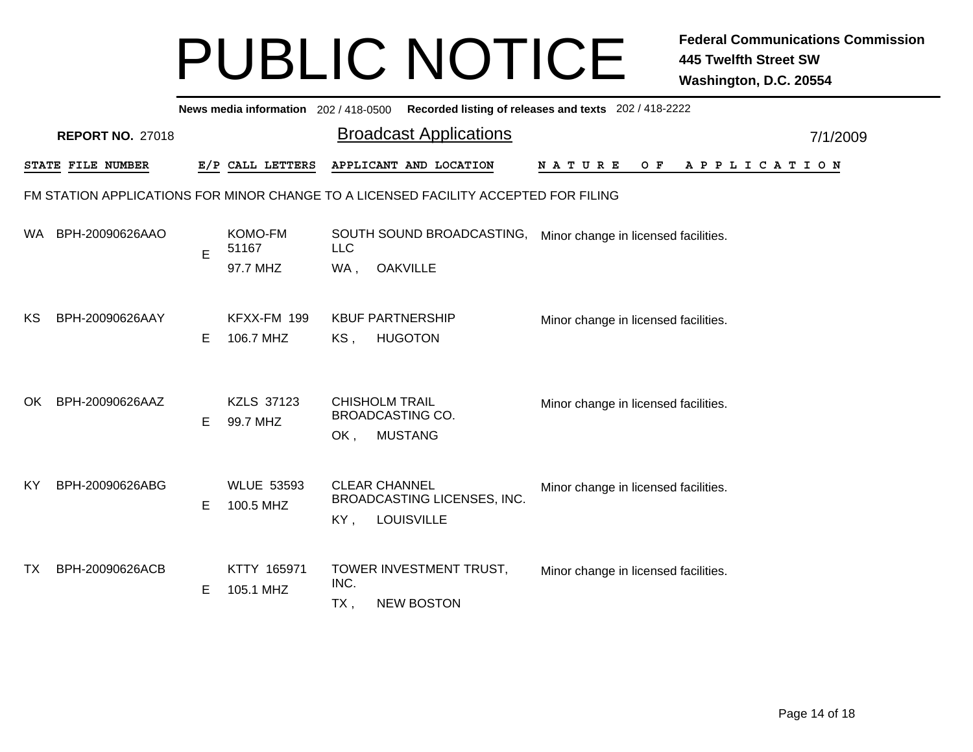|                                                                                     | News media information 202/418-0500 Recorded listing of releases and texts 202/418-2222 |   |                                     |                                                                           |                                              |                                      |          |  |  |  |  |  |  |
|-------------------------------------------------------------------------------------|-----------------------------------------------------------------------------------------|---|-------------------------------------|---------------------------------------------------------------------------|----------------------------------------------|--------------------------------------|----------|--|--|--|--|--|--|
|                                                                                     | <b>REPORT NO. 27018</b>                                                                 |   |                                     |                                                                           | <b>Broadcast Applications</b>                |                                      | 7/1/2009 |  |  |  |  |  |  |
|                                                                                     | STATE FILE NUMBER                                                                       |   | E/P CALL LETTERS                    |                                                                           | APPLICANT AND LOCATION                       | NATURE<br>O F<br>APPLICATION         |          |  |  |  |  |  |  |
| FM STATION APPLICATIONS FOR MINOR CHANGE TO A LICENSED FACILITY ACCEPTED FOR FILING |                                                                                         |   |                                     |                                                                           |                                              |                                      |          |  |  |  |  |  |  |
| WA.                                                                                 | BPH-20090626AAO                                                                         | E | <b>KOMO-FM</b><br>51167<br>97.7 MHZ | LLC<br><b>OAKVILLE</b><br>WA,                                             | SOUTH SOUND BROADCASTING,                    | Minor change in licensed facilities. |          |  |  |  |  |  |  |
| KS                                                                                  | BPH-20090626AAY                                                                         | E | KFXX-FM 199<br>106.7 MHZ            | <b>KBUF PARTNERSHIP</b><br>KS,<br><b>HUGOTON</b>                          |                                              | Minor change in licensed facilities. |          |  |  |  |  |  |  |
| OK.                                                                                 | BPH-20090626AAZ                                                                         | Е | <b>KZLS 37123</b><br>99.7 MHZ       | <b>CHISHOLM TRAIL</b><br><b>BROADCASTING CO.</b><br><b>MUSTANG</b><br>OK, |                                              | Minor change in licensed facilities. |          |  |  |  |  |  |  |
| KY                                                                                  | BPH-20090626ABG                                                                         | Е | <b>WLUE 53593</b><br>100.5 MHZ      | <b>CLEAR CHANNEL</b><br><b>LOUISVILLE</b><br>KY,                          | BROADCASTING LICENSES, INC.                  | Minor change in licensed facilities. |          |  |  |  |  |  |  |
| ТX                                                                                  | BPH-20090626ACB                                                                         | E | KTTY 165971<br>105.1 MHZ            | INC.<br>$TX$ ,                                                            | TOWER INVESTMENT TRUST,<br><b>NEW BOSTON</b> | Minor change in licensed facilities. |          |  |  |  |  |  |  |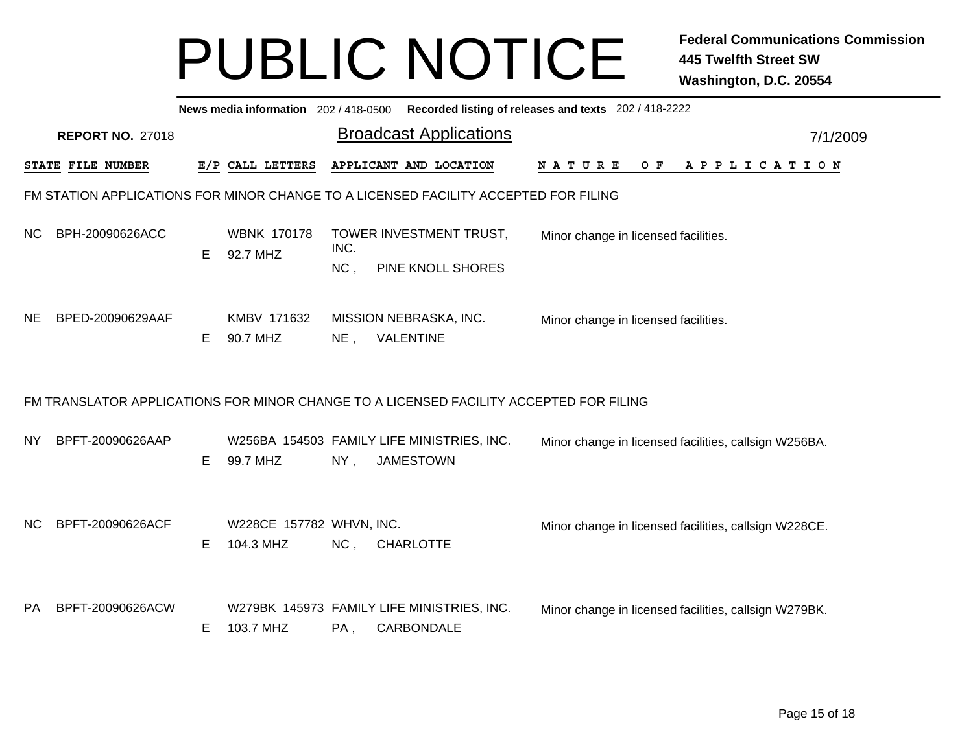|                                                                                     | Recorded listing of releases and texts 202 / 418-2222<br>News media information 202 / 418-0500 |   |                                       |             |                                                                                        |  |                                                       |  |  |     |  |  |  |  |             |  |  |
|-------------------------------------------------------------------------------------|------------------------------------------------------------------------------------------------|---|---------------------------------------|-------------|----------------------------------------------------------------------------------------|--|-------------------------------------------------------|--|--|-----|--|--|--|--|-------------|--|--|
|                                                                                     | <b>REPORT NO. 27018</b>                                                                        |   |                                       | 7/1/2009    |                                                                                        |  |                                                       |  |  |     |  |  |  |  |             |  |  |
|                                                                                     | STATE FILE NUMBER                                                                              |   | E/P CALL LETTERS                      |             | APPLICANT AND LOCATION                                                                 |  | NATURE                                                |  |  | O F |  |  |  |  | APPLICATION |  |  |
| FM STATION APPLICATIONS FOR MINOR CHANGE TO A LICENSED FACILITY ACCEPTED FOR FILING |                                                                                                |   |                                       |             |                                                                                        |  |                                                       |  |  |     |  |  |  |  |             |  |  |
| NC.                                                                                 | BPH-20090626ACC                                                                                | Е | <b>WBNK 170178</b><br>92.7 MHZ        | INC.<br>NC, | TOWER INVESTMENT TRUST,<br>PINE KNOLL SHORES                                           |  | Minor change in licensed facilities.                  |  |  |     |  |  |  |  |             |  |  |
| <b>NE</b>                                                                           | BPED-20090629AAF                                                                               | Е | KMBV 171632<br>90.7 MHZ               | $NE$ ,      | MISSION NEBRASKA, INC.<br>VALENTINE                                                    |  | Minor change in licensed facilities.                  |  |  |     |  |  |  |  |             |  |  |
|                                                                                     |                                                                                                |   |                                       |             | FM TRANSLATOR APPLICATIONS FOR MINOR CHANGE TO A LICENSED FACILITY ACCEPTED FOR FILING |  |                                                       |  |  |     |  |  |  |  |             |  |  |
| NY.                                                                                 | BPFT-20090626AAP                                                                               | Е | 99.7 MHZ                              | NY,         | W256BA 154503 FAMILY LIFE MINISTRIES, INC.<br><b>JAMESTOWN</b>                         |  | Minor change in licensed facilities, callsign W256BA. |  |  |     |  |  |  |  |             |  |  |
| <b>NC</b>                                                                           | BPFT-20090626ACF                                                                               | Е | W228CE 157782 WHVN, INC.<br>104.3 MHZ | NC,         | <b>CHARLOTTE</b>                                                                       |  | Minor change in licensed facilities, callsign W228CE. |  |  |     |  |  |  |  |             |  |  |
| <b>PA</b>                                                                           | BPFT-20090626ACW                                                                               | Е | 103.7 MHZ                             | PA,         | W279BK 145973 FAMILY LIFE MINISTRIES, INC.<br>CARBONDALE                               |  | Minor change in licensed facilities, callsign W279BK. |  |  |     |  |  |  |  |             |  |  |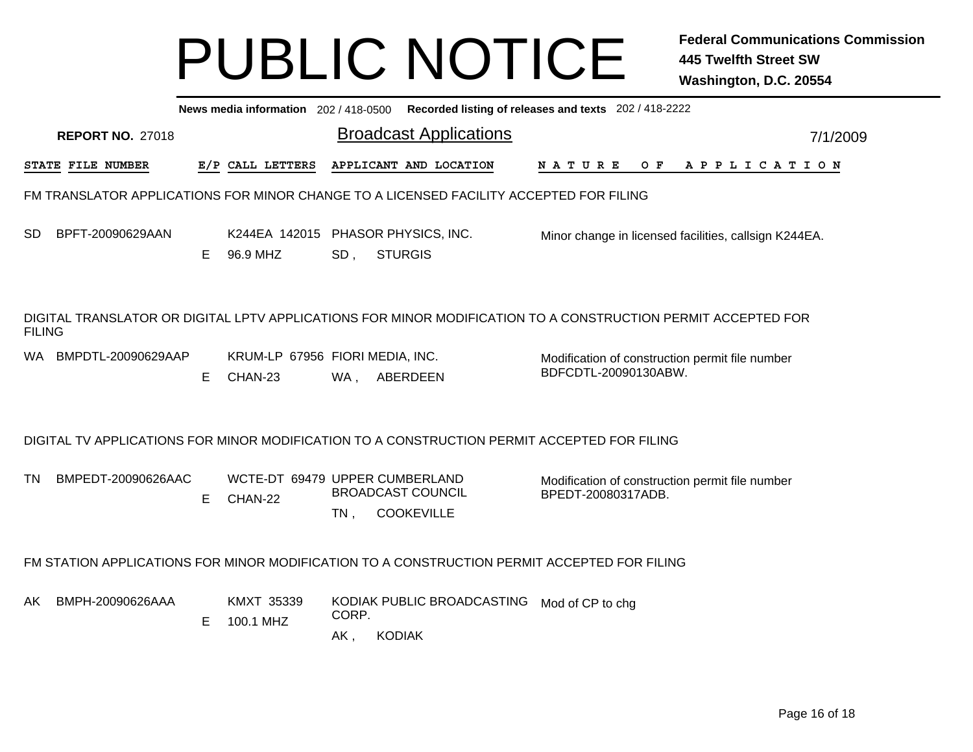|               | News media information 202 / 418-0500<br>Recorded listing of releases and texts 202 / 418-2222 |   |                                            |                               |                                                                                                              |                                                                         |  |  |  |  |     |  |          |  |  |                       |  |  |  |
|---------------|------------------------------------------------------------------------------------------------|---|--------------------------------------------|-------------------------------|--------------------------------------------------------------------------------------------------------------|-------------------------------------------------------------------------|--|--|--|--|-----|--|----------|--|--|-----------------------|--|--|--|
|               | <b>REPORT NO. 27018</b>                                                                        |   |                                            | <b>Broadcast Applications</b> |                                                                                                              |                                                                         |  |  |  |  |     |  | 7/1/2009 |  |  |                       |  |  |  |
|               | STATE FILE NUMBER                                                                              |   | E/P CALL LETTERS                           |                               | APPLICANT AND LOCATION                                                                                       | <b>NATURE</b>                                                           |  |  |  |  | O F |  |          |  |  | A P P L I C A T I O N |  |  |  |
|               |                                                                                                |   |                                            |                               | FM TRANSLATOR APPLICATIONS FOR MINOR CHANGE TO A LICENSED FACILITY ACCEPTED FOR FILING                       |                                                                         |  |  |  |  |     |  |          |  |  |                       |  |  |  |
| SD.           | BPFT-20090629AAN                                                                               | E | 96.9 MHZ                                   | SD,                           | K244EA 142015 PHASOR PHYSICS, INC.<br><b>STURGIS</b>                                                         | Minor change in licensed facilities, callsign K244EA.                   |  |  |  |  |     |  |          |  |  |                       |  |  |  |
| <b>FILING</b> |                                                                                                |   |                                            |                               | DIGITAL TRANSLATOR OR DIGITAL LPTV APPLICATIONS FOR MINOR MODIFICATION TO A CONSTRUCTION PERMIT ACCEPTED FOR |                                                                         |  |  |  |  |     |  |          |  |  |                       |  |  |  |
| WA.           | BMPDTL-20090629AAP                                                                             | Е | KRUM-LP 67956 FIORI MEDIA, INC.<br>CHAN-23 | WA,                           | ABERDEEN                                                                                                     | Modification of construction permit file number<br>BDFCDTL-20090130ABW. |  |  |  |  |     |  |          |  |  |                       |  |  |  |
|               |                                                                                                |   |                                            |                               | DIGITAL TV APPLICATIONS FOR MINOR MODIFICATION TO A CONSTRUCTION PERMIT ACCEPTED FOR FILING                  |                                                                         |  |  |  |  |     |  |          |  |  |                       |  |  |  |
| <b>TN</b>     | BMPEDT-20090626AAC                                                                             | E | WCTE-DT 69479 UPPER CUMBERLAND<br>CHAN-22  | $TN$ ,                        | <b>BROADCAST COUNCIL</b><br><b>COOKEVILLE</b>                                                                | Modification of construction permit file number<br>BPEDT-20080317ADB.   |  |  |  |  |     |  |          |  |  |                       |  |  |  |
|               |                                                                                                |   |                                            |                               | FM STATION APPLICATIONS FOR MINOR MODIFICATION TO A CONSTRUCTION PERMIT ACCEPTED FOR FILING                  |                                                                         |  |  |  |  |     |  |          |  |  |                       |  |  |  |
| AK.           | BMPH-20090626AAA                                                                               | Е | KMXT 35339<br>100.1 MHZ                    | CORP.<br>AK,                  | KODIAK PUBLIC BROADCASTING<br><b>KODIAK</b>                                                                  | Mod of CP to chg                                                        |  |  |  |  |     |  |          |  |  |                       |  |  |  |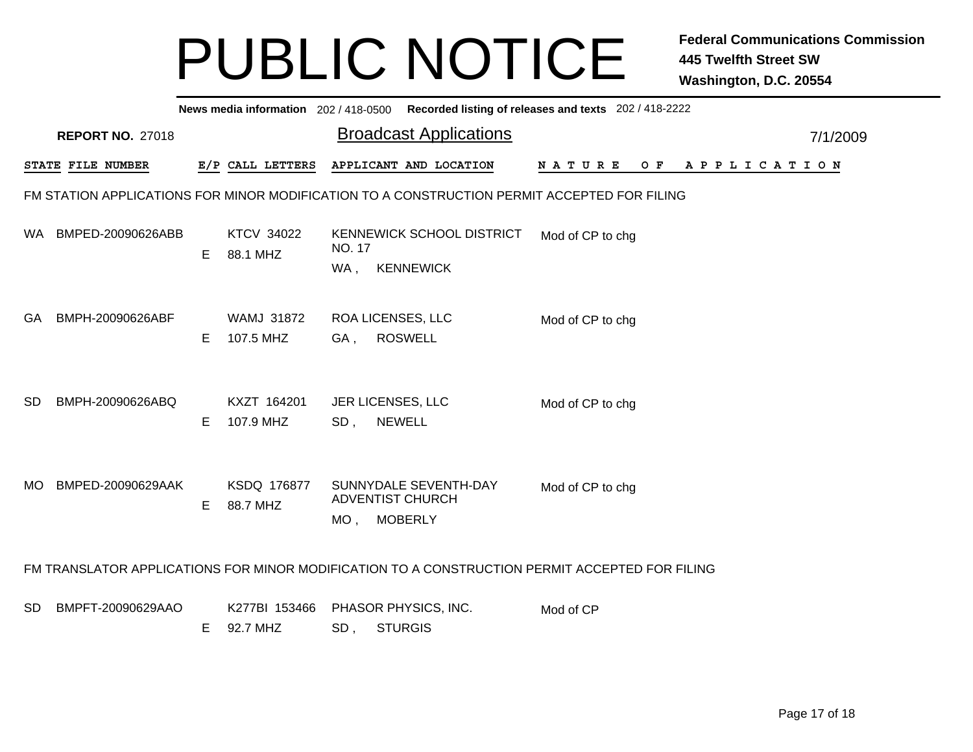|           | News media information 202/418-0500 Recorded listing of releases and texts 202/418-2222     |    |                                |                                                                                                |                               |          |  |  |  |  |  |  |  |  |
|-----------|---------------------------------------------------------------------------------------------|----|--------------------------------|------------------------------------------------------------------------------------------------|-------------------------------|----------|--|--|--|--|--|--|--|--|
|           | <b>REPORT NO. 27018</b>                                                                     |    |                                | <b>Broadcast Applications</b>                                                                  |                               | 7/1/2009 |  |  |  |  |  |  |  |  |
|           | STATE FILE NUMBER                                                                           |    | E/P CALL LETTERS               | APPLICANT AND LOCATION                                                                         | OF APPLICATION<br>N A T U R E |          |  |  |  |  |  |  |  |  |
|           | FM STATION APPLICATIONS FOR MINOR MODIFICATION TO A CONSTRUCTION PERMIT ACCEPTED FOR FILING |    |                                |                                                                                                |                               |          |  |  |  |  |  |  |  |  |
| WA.       | BMPED-20090626ABB                                                                           | E  | <b>KTCV 34022</b><br>88.1 MHZ  | KENNEWICK SCHOOL DISTRICT<br>NO. 17<br>WA,<br><b>KENNEWICK</b>                                 | Mod of CP to chg              |          |  |  |  |  |  |  |  |  |
| GA.       | BMPH-20090626ABF                                                                            | E. | <b>WAMJ 31872</b><br>107.5 MHZ | <b>ROA LICENSES, LLC</b><br><b>ROSWELL</b><br>GA,                                              | Mod of CP to chg              |          |  |  |  |  |  |  |  |  |
| SD.       | BMPH-20090626ABQ                                                                            | E  | KXZT 164201<br>107.9 MHZ       | <b>JER LICENSES, LLC</b><br>$SD$ ,<br><b>NEWELL</b>                                            | Mod of CP to chg              |          |  |  |  |  |  |  |  |  |
| MO.       | BMPED-20090629AAK                                                                           | E. | KSDQ 176877<br>88.7 MHZ        | SUNNYDALE SEVENTH-DAY<br><b>ADVENTIST CHURCH</b><br><b>MOBERLY</b><br>MO,                      | Mod of CP to chg              |          |  |  |  |  |  |  |  |  |
|           |                                                                                             |    |                                | FM TRANSLATOR APPLICATIONS FOR MINOR MODIFICATION TO A CONSTRUCTION PERMIT ACCEPTED FOR FILING |                               |          |  |  |  |  |  |  |  |  |
| <b>SD</b> | BMPFT-20090629AAO                                                                           | E. | K277BI 153466<br>92.7 MHZ      | PHASOR PHYSICS, INC.<br><b>STURGIS</b><br>SD,                                                  | Mod of CP                     |          |  |  |  |  |  |  |  |  |